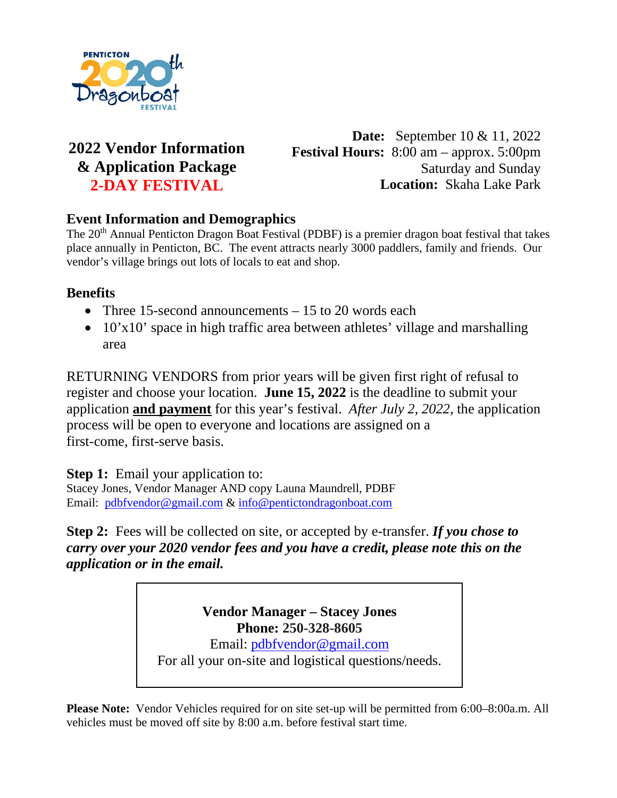

## **2022 Vendor Information & Application Package 2-DAY FESTIVAL**

**Date:** September 10 & 11, 2022 **Festival Hours:** 8:00 am – approx. 5:00pm Saturday and Sunday **Location:** Skaha Lake Park

### **Event Information and Demographics**

The 20<sup>th</sup> Annual Penticton Dragon Boat Festival (PDBF) is a premier dragon boat festival that takes place annually in Penticton, BC. The event attracts nearly 3000 paddlers, family and friends. Our vendor's village brings out lots of locals to eat and shop.

### **Benefits**

- Three 15-second announcements 15 to 20 words each
- 10'x10' space in high traffic area between athletes' village and marshalling area

RETURNING VENDORS from prior years will be given first right of refusal to register and choose your location. **June 15, 2022** is the deadline to submit your application **and payment** for this year's festival. *After July 2, 2022*, the application process will be open to everyone and locations are assigned on a first-come, first-serve basis.

**Step 1:** Email your application to:

Stacey Jones, Vendor Manager AND copy Launa Maundrell, PDBF Email: [pdbfvendor@gmail.com](mailto:pdbfvendor@gmail.com) & [info@pentictondragonboat.com](mailto:info@pentictondragonboat.com)

**Step 2:** Fees will be collected on site, or accepted by e-transfer. *If you chose to carry over your 2020 vendor fees and you have a credit, please note this on the application or in the email.*

> **Vendor Manager – Stacey Jones Phone: 250-328-8605**

Email: [pdbfvendor@gmail.com](mailto:pdbfvendor@gmail.com)

For all your on-site and logistical questions/needs.

**Please Note:** Vendor Vehicles required for on site set-up will be permitted from 6:00–8:00a.m. All vehicles must be moved off site by 8:00 a.m. before festival start time.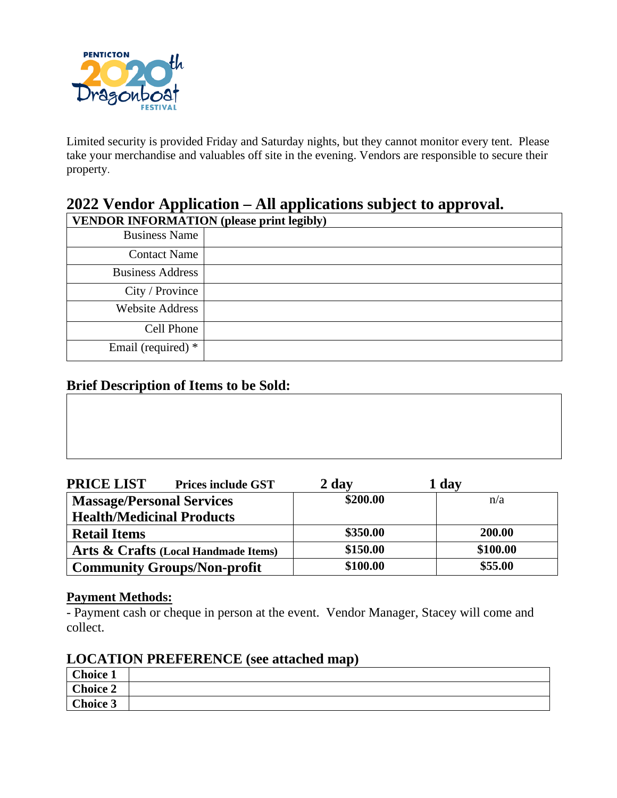

Limited security is provided Friday and Saturday nights, but they cannot monitor every tent. Please take your merchandise and valuables off site in the evening. Vendors are responsible to secure their property.

# **2022 Vendor Application – All applications subject to approval.**

| <b>VENDOR INFORMATION</b> (please print legibly) |  |  |
|--------------------------------------------------|--|--|
| <b>Business Name</b>                             |  |  |
| <b>Contact Name</b>                              |  |  |
| <b>Business Address</b>                          |  |  |
| City / Province                                  |  |  |
| <b>Website Address</b>                           |  |  |
| Cell Phone                                       |  |  |
| Email (required) *                               |  |  |

### **Brief Description of Items to be Sold:**

| <b>PRICE LIST</b><br><b>Prices include GST</b> | 2 day    | 1 day    |
|------------------------------------------------|----------|----------|
| <b>Massage/Personal Services</b>               | \$200.00 | n/a      |
| <b>Health/Medicinal Products</b>               |          |          |
| <b>Retail Items</b>                            | \$350.00 | 200.00   |
| Arts & Crafts (Local Handmade Items)           | \$150.00 | \$100.00 |
| <b>Community Groups/Non-profit</b>             | \$100.00 | \$55.00  |

#### **Payment Methods:**

- Payment cash or cheque in person at the event. Vendor Manager, Stacey will come and collect.

### **LOCATION PREFERENCE (see attached map)**

| Choice 1 |  |
|----------|--|
| Choice 2 |  |
| Choice 3 |  |